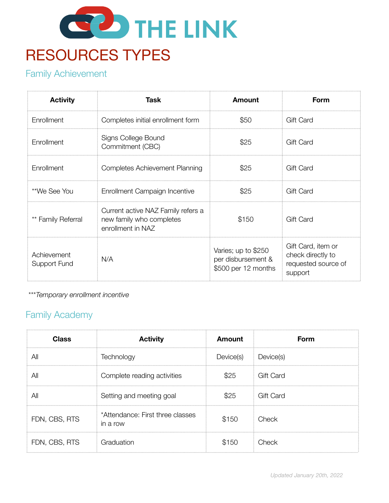

## RESOURCES TYPES

## Family Achievement

| <b>Activity</b>             | Task                                                                                | Amount                                                           | Form                                                                      |
|-----------------------------|-------------------------------------------------------------------------------------|------------------------------------------------------------------|---------------------------------------------------------------------------|
| Enrollment                  | Completes initial enrollment form                                                   | \$50                                                             | <b>Gift Card</b>                                                          |
| Enrollment                  | Signs College Bound<br>Commitment (CBC)                                             | \$25                                                             | <b>Gift Card</b>                                                          |
| Enrollment                  | <b>Completes Achievement Planning</b>                                               | \$25                                                             | <b>Gift Card</b>                                                          |
| **We See You                | Enrollment Campaign Incentive                                                       | \$25                                                             | <b>Gift Card</b>                                                          |
| ** Family Referral          | Current active NAZ Family refers a<br>new family who completes<br>enrollment in NAZ | \$150                                                            | <b>Gift Card</b>                                                          |
| Achievement<br>Support Fund | N/A                                                                                 | Varies; up to \$250<br>per disbursement &<br>\$500 per 12 months | Gift Card, item or<br>check directly to<br>requested source of<br>support |

\*\*\**Temporary enrollment incentive*

## Family Academy

| <b>Class</b>  | <b>Activity</b>                              | Amount              | Form             |
|---------------|----------------------------------------------|---------------------|------------------|
| Αll           | Technology                                   | Device(s) Device(s) |                  |
| Αll           | Complete reading activities                  | \$25                | <b>Gift Card</b> |
| Αll           | Setting and meeting goal                     | \$25                | <b>Gift Card</b> |
| FDN, CBS, RTS | *Attendance: First three classes<br>in a row | \$150               | Check            |
| FDN, CBS, RTS | Graduation                                   | \$150               | Check            |